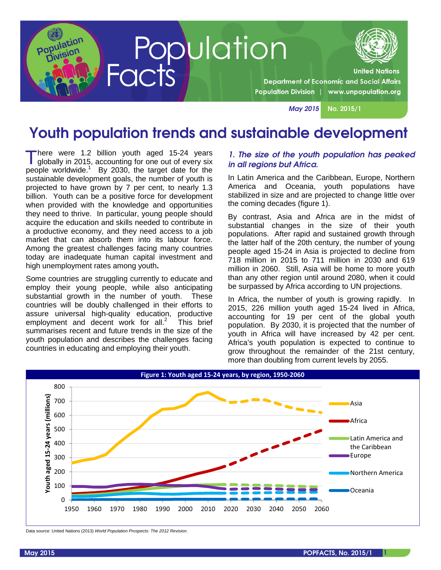

Population<br>Facts **Department of Economic and Social Affairs** Population Division | www.unpopulation.org

May 2015 No. 2015/1

# Youth population trends and sustainable development

here were 1.2 billion youth aged 15-24 years globally in 2015, accounting for one out of every six people worldwide.<sup>1</sup> By 2030, the target date for the sustainable development goals, the number of youth is projected to have grown by 7 per cent, to nearly 1.3 billion. Youth can be a positive force for development when provided with the knowledge and opportunities they need to thrive. In particular, young people should acquire the education and skills needed to contribute in a productive economy, and they need access to a job market that can absorb them into its labour force. Among the greatest challenges facing many countries today are inadequate human capital investment and high unemployment rates among youth**.**  T

Some countries are struggling currently to educate and employ their young people, while also anticipating substantial growth in the number of youth. These countries will be doubly challenged in their efforts to assure universal high-quality education, productive employment and decent work for all. $2^{7}$  This brief summarises recent and future trends in the size of the youth population and describes the challenges facing countries in educating and employing their youth.

#### 1. The size of the youth population has peaked in all regions but Africa.

In Latin America and the Caribbean, Europe, Northern America and Oceania, youth populations have stabilized in size and are projected to change little over the coming decades (figure 1).

By contrast, Asia and Africa are in the midst of substantial changes in the size of their youth populations. After rapid and sustained growth through the latter half of the 20th century, the number of young people aged 15-24 in Asia is projected to decline from 718 million in 2015 to 711 million in 2030 and 619 million in 2060. Still, Asia will be home to more youth than any other region until around 2080, when it could be surpassed by Africa according to UN projections.

In Africa, the number of youth is growing rapidly. In 2015, 226 million youth aged 15-24 lived in Africa, accounting for 19 per cent of the global youth population. By 2030, it is projected that the number of youth in Africa will have increased by 42 per cent. Africa's youth population is expected to continue to grow throughout the remainder of the 21st century, more than doubling from current levels by 2055.



Data source: United Nations (2013) World Population Prospects: The 2012 Revision.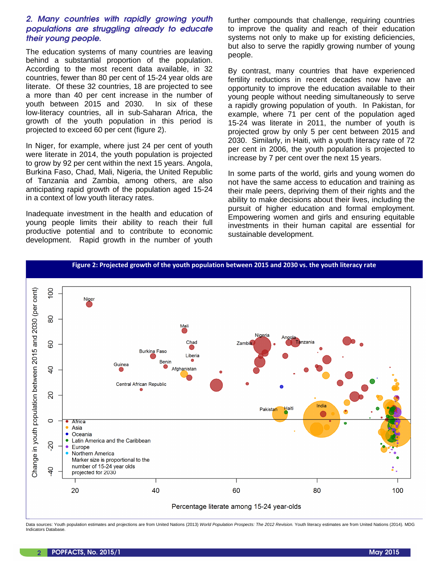# 2. Many countries with rapidly growing youth populations are struggling already to educate their young people.

The education systems of many countries are leaving behind a substantial proportion of the population. According to the most recent data available, in 32 countries, fewer than 80 per cent of 15-24 year olds are literate. Of these 32 countries, 18 are projected to see a more than 40 per cent increase in the number of youth between 2015 and 2030. In six of these low-literacy countries, all in sub-Saharan Africa, the growth of the youth population in this period is projected to exceed 60 per cent (figure 2).

In Niger, for example, where just 24 per cent of youth were literate in 2014, the youth population is projected to grow by 92 per cent within the next 15 years. Angola, Burkina Faso, Chad, Mali, Nigeria, the United Republic of Tanzania and Zambia, among others, are also anticipating rapid growth of the population aged 15-24 in a context of low youth literacy rates.

Inadequate investment in the health and education of young people limits their ability to reach their full productive potential and to contribute to economic development. Rapid growth in the number of youth further compounds that challenge, requiring countries to improve the quality and reach of their education systems not only to make up for existing deficiencies, but also to serve the rapidly growing number of young people.

By contrast, many countries that have experienced fertility reductions in recent decades now have an opportunity to improve the education available to their young people without needing simultaneously to serve a rapidly growing population of youth. In Pakistan, for example, where 71 per cent of the population aged 15-24 was literate in 2011, the number of youth is projected grow by only 5 per cent between 2015 and 2030. Similarly, in Haiti, with a youth literacy rate of 72 per cent in 2006, the youth population is projected to increase by 7 per cent over the next 15 years.

In some parts of the world, girls and young women do not have the same access to education and training as their male peers, depriving them of their rights and the ability to make decisions about their lives, including the pursuit of higher education and formal employment. Empowering women and girls and ensuring equitable investments in their human capital are essential for sustainable development.



Data sources: Youth population estimates and projections are from United Nations (2013) World Population Prospects: The 2012 Revision. Youth literacy estimates are from United Nations (2014). MDG Indicators Database.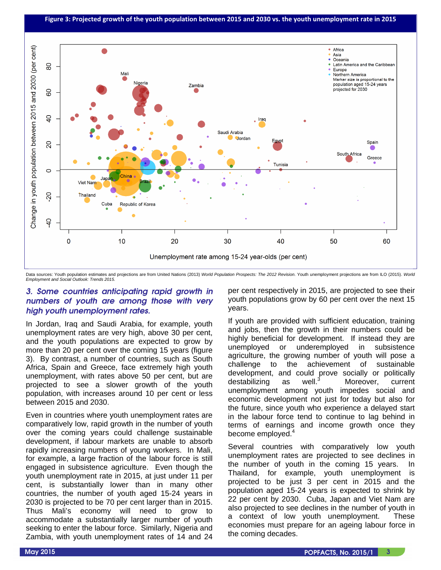

Data sources: Youth population estimates and projections are from United Nations (2013) World Population Prospects: The 2012 Revision. Youth unemployment projections are from ILO (2015). World Employment and Social Outlook: Trends 2015.

## 3. Some countries anticipating rapid growth in numbers of youth are among those with very high youth unemployment rates.

In Jordan, Iraq and Saudi Arabia, for example, youth unemployment rates are very high, above 30 per cent, and the youth populations are expected to grow by more than 20 per cent over the coming 15 years (figure 3). By contrast, a number of countries, such as South Africa, Spain and Greece, face extremely high youth unemployment, with rates above 50 per cent, but are projected to see a slower growth of the youth population, with increases around 10 per cent or less between 2015 and 2030.

Even in countries where youth unemployment rates are comparatively low, rapid growth in the number of youth over the coming years could challenge sustainable development, if labour markets are unable to absorb rapidly increasing numbers of young workers. In Mali, for example, a large fraction of the labour force is still engaged in subsistence agriculture. Even though the youth unemployment rate in 2015, at just under 11 per cent, is substantially lower than in many other countries, the number of youth aged 15-24 years in 2030 is projected to be 70 per cent larger than in 2015. Thus Mali's economy will need to grow to accommodate a substantially larger number of youth seeking to enter the labour force. Similarly, Nigeria and Zambia, with youth unemployment rates of 14 and 24

per cent respectively in 2015, are projected to see their youth populations grow by 60 per cent over the next 15 years.

If youth are provided with sufficient education, training and jobs, then the growth in their numbers could be highly beneficial for development. If instead they are unemployed or underemployed in subsistence agriculture, the growing number of youth will pose a challenge to the achievement of sustainable development, and could prove socially or politically destabilizing as well.<sup>3</sup> Moreover, current unemployment among youth impedes social and economic development not just for today but also for the future, since youth who experience a delayed start in the labour force tend to continue to lag behind in terms of earnings and income growth once they become employed.<sup>4</sup>

Several countries with comparatively low youth unemployment rates are projected to see declines in the number of youth in the coming 15 years. In Thailand, for example, youth unemployment is projected to be just 3 per cent in 2015 and the population aged 15-24 years is expected to shrink by 22 per cent by 2030. Cuba, Japan and Viet Nam are also projected to see declines in the number of youth in a context of low youth unemployment. These economies must prepare for an ageing labour force in the coming decades.